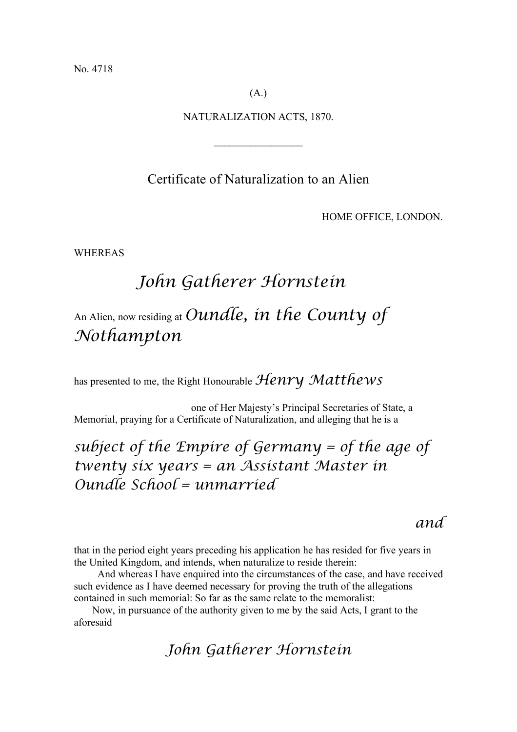No. 4718

(A.)

NATURALIZATION ACTS, 1870.

 $\frac{1}{2}$ 

Certificate of Naturalization to an Alien

HOME OFFICE, LONDON.

WHEREAS

# *John Gatherer Hornstein* An Alien, now residing at *Oundle, in the County of*

## *Nothampton*

has presented to me, the Right Honourable *Henry Matthews*

one of Her Majesty's Principal Secretaries of State, a Memorial, praying for a Certificate of Naturalization, and alleging that he is a

## *subject of the Empire of Germany = of the age of twenty six years = an Assistant Master in Oundle School = unmarried*

#### *and*

that in the period eight years preceding his application he has resided for five years in the United Kingdom, and intends, when naturalize to reside therein:

And whereas I have enquired into the circumstances of the case, and have received such evidence as I have deemed necessary for proving the truth of the allegations contained in such memorial: So far as the same relate to the memoralist:

Now, in pursuance of the authority given to me by the said Acts, I grant to the aforesaid

#### *John Gatherer Hornstein*